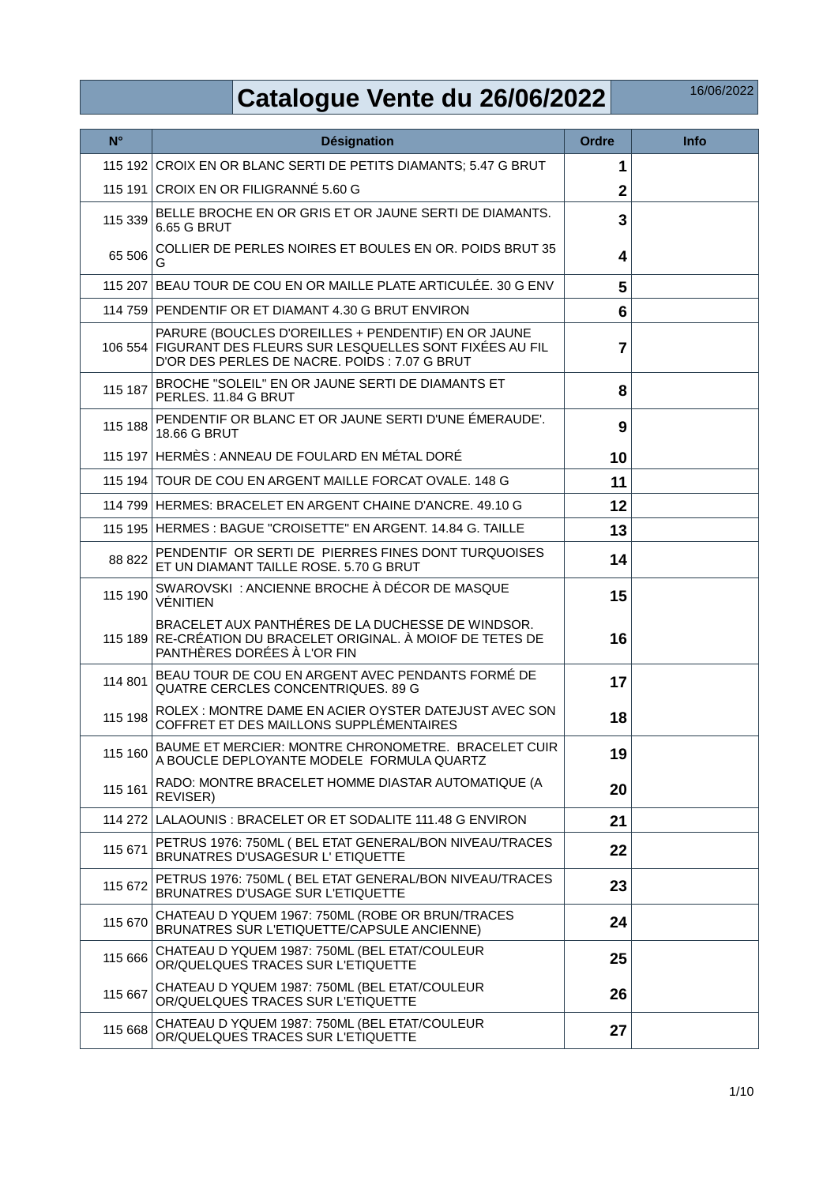## **Catalogue Vente du 26/06/2022**

| $N^{\circ}$ | Désignation                                                                                                                                                   | <b>Ordre</b>   | <b>Info</b> |
|-------------|---------------------------------------------------------------------------------------------------------------------------------------------------------------|----------------|-------------|
|             | 115 192 CROIX EN OR BLANC SERTI DE PETITS DIAMANTS; 5.47 G BRUT                                                                                               | 1              |             |
|             | 115 191 CROIX EN OR FILIGRANNÉ 5.60 G                                                                                                                         | $\overline{2}$ |             |
| 115 339     | BELLE BROCHE EN OR GRIS ET OR JAUNE SERTI DE DIAMANTS.<br>6.65 G BRUT                                                                                         | 3              |             |
| 65 506      | COLLIER DE PERLES NOIRES ET BOULES EN OR. POIDS BRUT 35<br>G                                                                                                  | 4              |             |
|             | 115 207 BEAU TOUR DE COU EN OR MAILLE PLATE ARTICULÉE. 30 G ENV                                                                                               | 5              |             |
|             | 114 759 PENDENTIF OR ET DIAMANT 4.30 G BRUT ENVIRON                                                                                                           | 6              |             |
| 106 554     | PARURE (BOUCLES D'OREILLES + PENDENTIF) EN OR JAUNE<br>FIGURANT DES FLEURS SUR LESQUELLES SONT FIXÉES AU FIL<br>D'OR DES PERLES DE NACRE. POIDS : 7.07 G BRUT | $\overline{7}$ |             |
| 115 187     | BROCHE "SOLEIL" EN OR JAUNE SERTI DE DIAMANTS ET<br>PERLES. 11.84 G BRUT                                                                                      | 8              |             |
| 115 188     | PENDENTIF OR BLANC ET OR JAUNE SERTI D'UNE ÉMERAUDE'.<br><b>18.66 G BRUT</b>                                                                                  | 9              |             |
|             | 115 197 HERMES: ANNEAU DE FOULARD EN MÉTAL DORÉ                                                                                                               | 10             |             |
|             | 115 194 TOUR DE COU EN ARGENT MAILLE FORCAT OVALE, 148 G                                                                                                      | 11             |             |
|             | 114 799 HERMES: BRACELET EN ARGENT CHAINE D'ANCRE, 49.10 G                                                                                                    | 12             |             |
|             | 115 195 HERMES : BAGUE "CROISETTE" EN ARGENT. 14.84 G. TAILLE                                                                                                 | 13             |             |
| 88 822      | PENDENTIF OR SERTI DE PIERRES FINES DONT TURQUOISES<br>ET UN DIAMANT TAILLE ROSE. 5.70 G BRUT                                                                 | 14             |             |
| 115 190     | SWAROVSKI: ANCIENNE BROCHE À DÉCOR DE MASQUE<br><b>VÉNITIEN</b>                                                                                               | 15             |             |
|             | BRACELET AUX PANTHÉRES DE LA DUCHESSE DE WINDSOR.<br>115 189 RE-CRÉATION DU BRACELET ORIGINAL. À MOIOF DE TETES DE<br>PANTHÈRES DORÉES À L'OR FIN             | 16             |             |
| 114 801     | BEAU TOUR DE COU EN ARGENT AVEC PENDANTS FORMÉ DE<br>QUATRE CERCLES CONCENTRIQUES. 89 G                                                                       | 17             |             |
| 115 198     | ROLEX : MONTRE DAME EN ACIER OYSTER DATEJUST AVEC SON<br>COFFRET ET DES MAILLONS SUPPLÉMENTAIRES                                                              | 18             |             |
| 115 160     | BAUME ET MERCIER: MONTRE CHRONOMETRE. BRACELET CUIR<br>A BOUCLE DEPLOYANTE MODELE FORMULA QUARTZ                                                              | 19             |             |
| 115 161     | RADO: MONTRE BRACELET HOMME DIASTAR AUTOMATIQUE (A<br>REVISER)                                                                                                | 20             |             |
|             | 114 272 LALAOUNIS: BRACELET OR ET SODALITE 111.48 G ENVIRON                                                                                                   | 21             |             |
| 115 671     | PETRUS 1976: 750ML (BEL ETAT GENERAL/BON NIVEAU/TRACES<br>BRUNATRES D'USAGESUR L'ETIQUETTE                                                                    | 22             |             |
| 115 672     | PETRUS 1976: 750ML ( BEL ETAT GENERAL/BON NIVEAU/TRACES<br>BRUNATRES D'USAGE SUR L'ETIQUETTE                                                                  | 23             |             |
| 115 670     | CHATEAU D YQUEM 1967: 750ML (ROBE OR BRUN/TRACES<br>BRUNATRES SUR L'ETIQUETTE/CAPSULE ANCIENNE)                                                               | 24             |             |
| 115 666     | CHATEAU D YQUEM 1987: 750ML (BEL ETAT/COULEUR<br>OR/QUELQUES TRACES SUR L'ETIQUETTE                                                                           | 25             |             |
| 115 667     | CHATEAU D YQUEM 1987: 750ML (BEL ETAT/COULEUR<br>OR/QUELQUES TRACES SUR L'ETIQUETTE                                                                           | 26             |             |
| 115 668     | CHATEAU D YQUEM 1987: 750ML (BEL ETAT/COULEUR<br>OR/QUELQUES TRACES SUR L'ETIQUETTE                                                                           | 27             |             |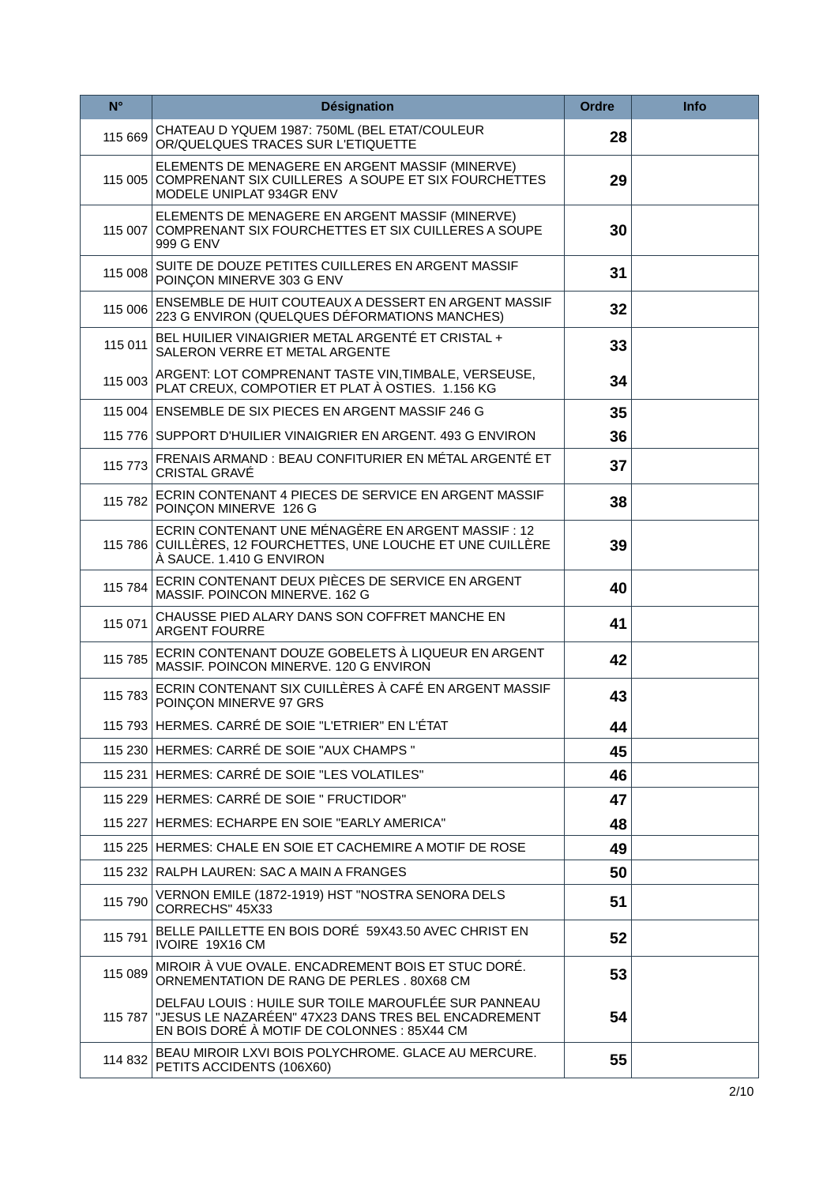| $N^{\circ}$ | <b>Désignation</b>                                                                                                                                                 | <b>Ordre</b> | <b>Info</b> |
|-------------|--------------------------------------------------------------------------------------------------------------------------------------------------------------------|--------------|-------------|
| 115 669     | CHATEAU D YQUEM 1987: 750ML (BEL ETAT/COULEUR<br>OR/QUELQUES TRACES SUR L'ETIQUETTE                                                                                | 28           |             |
| 115 005     | ELEMENTS DE MENAGERE EN ARGENT MASSIF (MINERVE)<br>COMPRENANT SIX CUILLERES A SOUPE ET SIX FOURCHETTES<br>MODELE UNIPLAT 934GR ENV                                 | 29           |             |
|             | ELEMENTS DE MENAGERE EN ARGENT MASSIF (MINERVE)<br>115 007 COMPRENANT SIX FOURCHETTES ET SIX CUILLERES A SOUPE<br>999 G ENV                                        | 30           |             |
| 115 008     | SUITE DE DOUZE PETITES CUILLERES EN ARGENT MASSIF<br>POINCON MINERVE 303 G ENV                                                                                     | 31           |             |
| 115 006     | ENSEMBLE DE HUIT COUTEAUX A DESSERT EN ARGENT MASSIF<br>223 G ENVIRON (QUELQUES DÉFORMATIONS MANCHES)                                                              | 32           |             |
| 115 011     | BEL HUILIER VINAIGRIER METAL ARGENTÉ ET CRISTAL +<br>SALERON VERRE ET METAL ARGENTE                                                                                | 33           |             |
| 115 003     | ARGENT: LOT COMPRENANT TASTE VIN, TIMBALE, VERSEUSE,<br>PLAT CREUX, COMPOTIER ET PLAT À OSTIES. 1.156 KG                                                           | 34           |             |
|             | 115 004 ENSEMBLE DE SIX PIECES EN ARGENT MASSIF 246 G                                                                                                              | 35           |             |
|             | 115 776 SUPPORT D'HUILIER VINAIGRIER EN ARGENT. 493 G ENVIRON                                                                                                      | 36           |             |
| 115 773     | FRENAIS ARMAND : BEAU CONFITURIER EN MÉTAL ARGENTÉ ET<br><b>CRISTAL GRAVÉ</b>                                                                                      | 37           |             |
| 115 782     | ECRIN CONTENANT 4 PIECES DE SERVICE EN ARGENT MASSIF<br>POINÇON MINERVE 126 G                                                                                      | 38           |             |
|             | ECRIN CONTENANT UNE MÉNAGÈRE EN ARGENT MASSIF : 12<br>115 786 CUILLÈRES, 12 FOURCHETTES, UNE LOUCHE ET UNE CUILLÈRE<br>À SAUCE. 1.410 G ENVIRON                    | 39           |             |
| 115 784     | ECRIN CONTENANT DEUX PIÈCES DE SERVICE EN ARGENT<br>MASSIF, POINCON MINERVE, 162 G                                                                                 | 40           |             |
| 115 071     | CHAUSSE PIED ALARY DANS SON COFFRET MANCHE EN<br><b>ARGENT FOURRE</b>                                                                                              | 41           |             |
| 115 785     | ECRIN CONTENANT DOUZE GOBELETS À LIQUEUR EN ARGENT<br>MASSIF. POINCON MINERVE. 120 G ENVIRON                                                                       | 42           |             |
| 115 783     | ECRIN CONTENANT SIX CUILLÈRES À CAFÉ EN ARGENT MASSIF<br>POINÇON MINERVE 97 GRS                                                                                    | 43           |             |
|             | 115 793 HERMES. CARRÉ DE SOIE "L'ETRIER" EN L'ÉTAT                                                                                                                 | 44           |             |
|             | 115 230 HERMES: CARRÉ DE SOIE "AUX CHAMPS "                                                                                                                        | 45           |             |
|             | 115 231 HERMES: CARRÉ DE SOIE "LES VOLATILES"                                                                                                                      | 46           |             |
|             | 115 229 HERMES: CARRÉ DE SOIE " FRUCTIDOR"                                                                                                                         | 47           |             |
|             | 115 227 HERMES: ECHARPE EN SOIE "EARLY AMERICA"                                                                                                                    | 48           |             |
|             | 115 225 HERMES: CHALE EN SOIE ET CACHEMIRE A MOTIF DE ROSE                                                                                                         | 49           |             |
|             | 115 232 RALPH LAUREN: SAC A MAIN A FRANGES                                                                                                                         | 50           |             |
| 115 790     | VERNON EMILE (1872-1919) HST "NOSTRA SENORA DELS<br>CORRECHS" 45X33                                                                                                | 51           |             |
| 115 791     | BELLE PAILLETTE EN BOIS DORÉ 59X43.50 AVEC CHRIST EN<br>IVOIRE 19X16 CM                                                                                            | 52           |             |
| 115 089     | MIROIR À VUE OVALE. ENCADREMENT BOIS ET STUC DORÉ.<br>ORNEMENTATION DE RANG DE PERLES. 80X68 CM                                                                    | 53           |             |
|             | DELFAU LOUIS : HUILE SUR TOILE MAROUFLÉE SUR PANNEAU<br>115 787 "JESUS LE NAZARÉEN" 47X23 DANS TRES BEL ENCADREMENT<br>EN BOIS DORÉ À MOTIF DE COLONNES : 85X44 CM | 54           |             |
| 114 832     | BEAU MIROIR LXVI BOIS POLYCHROME. GLACE AU MERCURE.<br>PETITS ACCIDENTS (106X60)                                                                                   | 55           |             |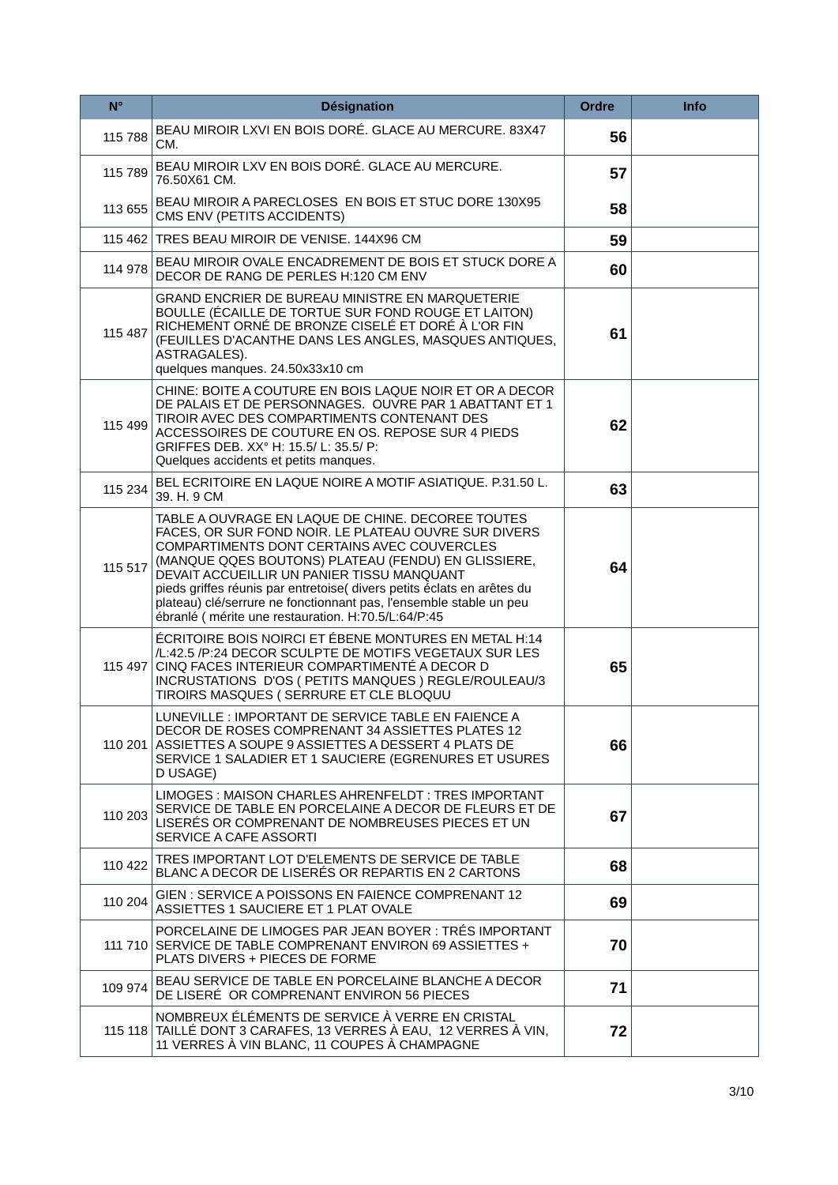| $N^{\circ}$ | <b>Désignation</b>                                                                                                                                                                                                                                                                                                                                                                                                                                                  | <b>Ordre</b> | <b>Info</b> |
|-------------|---------------------------------------------------------------------------------------------------------------------------------------------------------------------------------------------------------------------------------------------------------------------------------------------------------------------------------------------------------------------------------------------------------------------------------------------------------------------|--------------|-------------|
| 115 788     | BEAU MIROIR LXVI EN BOIS DORÉ. GLACE AU MERCURE. 83X47<br>CM.                                                                                                                                                                                                                                                                                                                                                                                                       | 56           |             |
| 115 789     | BEAU MIROIR LXV EN BOIS DORÉ. GLACE AU MERCURE.<br>76.50X61 CM.                                                                                                                                                                                                                                                                                                                                                                                                     | 57           |             |
| 113 655     | BEAU MIROIR A PARECLOSES EN BOIS ET STUC DORE 130X95<br>CMS ENV (PETITS ACCIDENTS)                                                                                                                                                                                                                                                                                                                                                                                  | 58           |             |
|             | 115 462 TRES BEAU MIROIR DE VENISE. 144X96 CM                                                                                                                                                                                                                                                                                                                                                                                                                       | 59           |             |
| 114 978     | BEAU MIROIR OVALE ENCADREMENT DE BOIS ET STUCK DORE A<br>DECOR DE RANG DE PERLES H:120 CM ENV                                                                                                                                                                                                                                                                                                                                                                       | 60           |             |
| 115 487     | GRAND ENCRIER DE BUREAU MINISTRE EN MARQUETERIE<br>BOULLE (ÉCAILLE DE TORTUE SUR FOND ROUGE ET LAITON)<br>RICHEMENT ORNÉ DE BRONZE CISELÉ ET DORÉ À L'OR FIN<br>(FEUILLES D'ACANTHE DANS LES ANGLES, MASQUES ANTIQUES,<br>ASTRAGALES).<br>quelques manques. 24.50x33x10 cm                                                                                                                                                                                          | 61           |             |
| 115 499     | CHINE: BOITE A COUTURE EN BOIS LAQUE NOIR ET OR A DECOR<br>DE PALAIS ET DE PERSONNAGES. OUVRE PAR 1 ABATTANT ET 1<br>TIROIR AVEC DES COMPARTIMENTS CONTENANT DES<br>ACCESSOIRES DE COUTURE EN OS. REPOSE SUR 4 PIEDS<br>GRIFFES DEB. XX° H: 15.5/L: 35.5/P:<br>Quelques accidents et petits manques.                                                                                                                                                                | 62           |             |
| 115 234     | BEL ECRITOIRE EN LAQUE NOIRE A MOTIF ASIATIQUE, P.31.50 L.<br>39. H. 9 CM                                                                                                                                                                                                                                                                                                                                                                                           | 63           |             |
| 115 517     | TABLE A OUVRAGE EN LAQUE DE CHINE. DECOREE TOUTES<br>FACES, OR SUR FOND NOIR. LE PLATEAU OUVRE SUR DIVERS<br>COMPARTIMENTS DONT CERTAINS AVEC COUVERCLES<br>(MANQUE QQES BOUTONS) PLATEAU (FENDU) EN GLISSIERE,<br>DEVAIT ACCUEILLIR UN PANIER TISSU MANQUANT<br>pieds griffes réunis par entretoise( divers petits éclats en arêtes du<br>plateau) clé/serrure ne fonctionnant pas, l'ensemble stable un peu<br>ébranlé (mérite une restauration. H:70.5/L:64/P:45 | 64           |             |
|             | ÉCRITOIRE BOIS NOIRCI ET ÉBENE MONTURES EN METAL H:14<br>/L:42.5 /P:24 DECOR SCULPTE DE MOTIFS VEGETAUX SUR LES<br>115 497 CINQ FACES INTERIEUR COMPARTIMENTE A DECOR D<br>INCRUSTATIONS D'OS (PETITS MANQUES) REGLE/ROULEAU/3<br>TIROIRS MASQUES (SERRURE ET CLE BLOQUU                                                                                                                                                                                            | 65           |             |
|             | LUNEVILLE : IMPORTANT DE SERVICE TABLE EN FAIENCE A<br>DECOR DE ROSES COMPRENANT 34 ASSIETTES PLATES 12<br>110 201 ASSIETTES A SOUPE 9 ASSIETTES A DESSERT 4 PLATS DE<br>SERVICE 1 SALADIER ET 1 SAUCIERE (EGRENURES ET USURES<br>D USAGE)                                                                                                                                                                                                                          | 66           |             |
| 110 203     | LIMOGES: MAISON CHARLES AHRENFELDT: TRES IMPORTANT<br>SERVICE DE TABLE EN PORCELAINE A DECOR DE FLEURS ET DE<br>LISERES OR COMPRENANT DE NOMBREUSES PIECES ET UN<br>SERVICE A CAFE ASSORTI                                                                                                                                                                                                                                                                          | 67           |             |
| 110 422     | TRES IMPORTANT LOT D'ELEMENTS DE SERVICE DE TABLE<br>BLANC A DECOR DE LISERÉS OR REPARTIS EN 2 CARTONS                                                                                                                                                                                                                                                                                                                                                              | 68           |             |
| 110 204     | GIEN: SERVICE A POISSONS EN FAIENCE COMPRENANT 12<br>ASSIETTES 1 SAUCIERE ET 1 PLAT OVALE                                                                                                                                                                                                                                                                                                                                                                           | 69           |             |
|             | PORCELAINE DE LIMOGES PAR JEAN BOYER : TRÉS IMPORTANT<br>111 710 SERVICE DE TABLE COMPRENANT ENVIRON 69 ASSIETTES +<br>PLATS DIVERS + PIECES DE FORME                                                                                                                                                                                                                                                                                                               | 70           |             |
| 109 974     | BEAU SERVICE DE TABLE EN PORCELAINE BLANCHE A DECOR<br>DE LISERÉ OR COMPRENANT ENVIRON 56 PIECES                                                                                                                                                                                                                                                                                                                                                                    | 71           |             |
|             | NOMBREUX ÉLÉMENTS DE SERVICE À VERRE EN CRISTAL<br>115 118 TAILLÉ DONT 3 CARAFES, 13 VERRES À EAU, 12 VERRES À VIN,<br>11 VERRES À VIN BLANC, 11 COUPES À CHAMPAGNE                                                                                                                                                                                                                                                                                                 | 72           |             |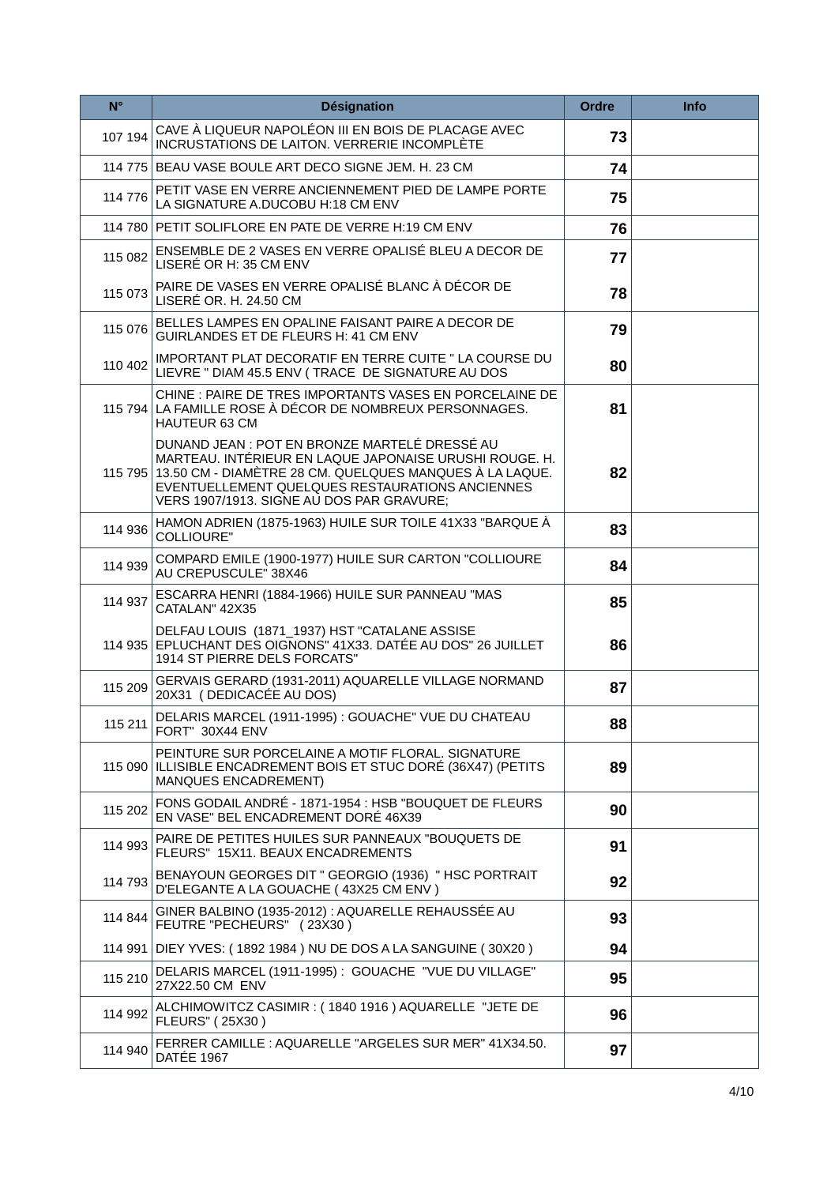| $N^{\circ}$ | <b>Désignation</b>                                                                                                                                                                                                                                                         | <b>Ordre</b> | Info |
|-------------|----------------------------------------------------------------------------------------------------------------------------------------------------------------------------------------------------------------------------------------------------------------------------|--------------|------|
| 107 194     | CAVE À LIQUEUR NAPOLÉON III EN BOIS DE PLACAGE AVEC<br><b>INCRUSTATIONS DE LAITON. VERRERIE INCOMPLÈTE</b>                                                                                                                                                                 | 73           |      |
|             | 114 775 BEAU VASE BOULE ART DECO SIGNE JEM. H. 23 CM                                                                                                                                                                                                                       | 74           |      |
| 114 776     | PETIT VASE EN VERRE ANCIENNEMENT PIED DE LAMPE PORTE<br>LA SIGNATURE A.DUCOBU H:18 CM ENV                                                                                                                                                                                  | 75           |      |
|             | 114 780 PETIT SOLIFLORE EN PATE DE VERRE H:19 CM ENV                                                                                                                                                                                                                       | 76           |      |
| 115 082     | ENSEMBLE DE 2 VASES EN VERRE OPALISÉ BLEU A DECOR DE<br>LISERÉ OR H: 35 CM ENV                                                                                                                                                                                             | 77           |      |
| 115 073     | PAIRE DE VASES EN VERRE OPALISÉ BLANC À DÉCOR DE<br>LISERÉ OR. H. 24.50 CM                                                                                                                                                                                                 | 78           |      |
| 115 076     | BELLES LAMPES EN OPALINE FAISANT PAIRE A DECOR DE<br>GUIRLANDES ET DE FLEURS H: 41 CM ENV                                                                                                                                                                                  | 79           |      |
| 110 402     | IMPORTANT PLAT DECORATIF EN TERRE CUITE " LA COURSE DU<br>LIEVRE " DIAM 45.5 ENV (TRACE DE SIGNATURE AU DOS                                                                                                                                                                | 80           |      |
|             | CHINE : PAIRE DE TRES IMPORTANTS VASES EN PORCELAINE DE<br>115 794 LA FAMILLE ROSE À DÉCOR DE NOMBREUX PERSONNAGES.<br><b>HAUTEUR 63 CM</b>                                                                                                                                | 81           |      |
|             | DUNAND JEAN : POT EN BRONZE MARTELÉ DRESSÉ AU<br>MARTEAU. INTÉRIEUR EN LAQUE JAPONAISE URUSHI ROUGE. H.<br>115 795 13.50 CM - DIAMÈTRE 28 CM. QUELQUES MANQUES À LA LAQUE.<br>EVENTUELLEMENT QUELQUES RESTAURATIONS ANCIENNES<br>VERS 1907/1913. SIGNE AU DOS PAR GRAVURE; | 82           |      |
| 114 936     | HAMON ADRIEN (1875-1963) HUILE SUR TOILE 41X33 "BARQUE À<br><b>COLLIOURE"</b>                                                                                                                                                                                              | 83           |      |
| 114 939     | COMPARD EMILE (1900-1977) HUILE SUR CARTON "COLLIOURE<br>AU CREPUSCULE" 38X46                                                                                                                                                                                              | 84           |      |
| 114 937     | ESCARRA HENRI (1884-1966) HUILE SUR PANNEAU "MAS<br>CATALAN" 42X35                                                                                                                                                                                                         | 85           |      |
|             | DELFAU LOUIS (1871_1937) HST "CATALANE ASSISE<br>114 935 EPLUCHANT DES OIGNONS" 41X33. DATÉE AU DOS" 26 JUILLET<br>1914 ST PIERRE DELS FORCATS"                                                                                                                            | 86           |      |
| 115 209     | GERVAIS GERARD (1931-2011) AQUARELLE VILLAGE NORMAND<br>20X31 (DEDICACÉE AU DOS)                                                                                                                                                                                           | 87           |      |
|             | 115 211 DELARIS MARCEL (1911-1995) : GOUACHE" VUE DU CHATEAU<br>FORT" 30X44 ENV                                                                                                                                                                                            | 88           |      |
|             | PEINTURE SUR PORCELAINE A MOTIF FLORAL. SIGNATURE<br>115 090 ILLISIBLE ENCADREMENT BOIS ET STUC DORÉ (36X47) (PETITS<br>MANQUES ENCADREMENT)                                                                                                                               | 89           |      |
| 115 202     | FONS GODAIL ANDRÉ - 1871-1954 : HSB "BOUQUET DE FLEURS<br>EN VASE" BEL ENCADREMENT DORÉ 46X39                                                                                                                                                                              | 90           |      |
| 114 993     | PAIRE DE PETITES HUILES SUR PANNEAUX "BOUQUETS DE<br>FLEURS" 15X11. BEAUX ENCADREMENTS                                                                                                                                                                                     | 91           |      |
| 114 793     | BENAYOUN GEORGES DIT " GEORGIO (1936) " HSC PORTRAIT<br>D'ELEGANTE A LA GOUACHE (43X25 CM ENV)                                                                                                                                                                             | 92           |      |
| 114 844     | GINER BALBINO (1935-2012) : AQUARELLE REHAUSSÉE AU<br>FEUTRE "PECHEURS" (23X30)                                                                                                                                                                                            | 93           |      |
|             | 114 991 DIEY YVES: (1892 1984) NU DE DOS A LA SANGUINE (30X20)                                                                                                                                                                                                             | 94           |      |
| 115 210     | DELARIS MARCEL (1911-1995) : GOUACHE "VUE DU VILLAGE"<br>27X22.50 CM ENV                                                                                                                                                                                                   | 95           |      |
| 114 992     | ALCHIMOWITCZ CASIMIR : (1840 1916) AQUARELLE "JETE DE<br><b>FLEURS" (25X30)</b>                                                                                                                                                                                            | 96           |      |
| 114 940     | FERRER CAMILLE : AQUARELLE "ARGELES SUR MER" 41X34.50.<br><b>DATÉE 1967</b>                                                                                                                                                                                                | 97           |      |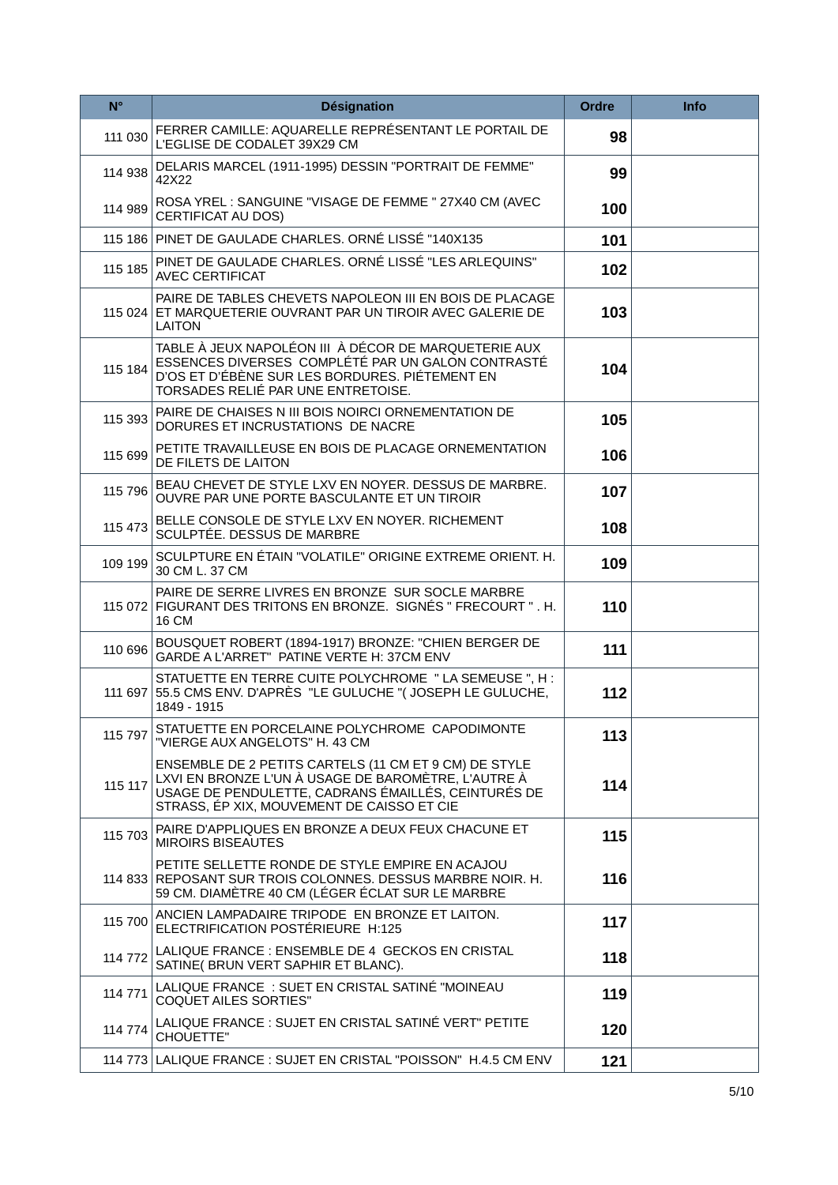| $N^{\circ}$ | <b>Désignation</b>                                                                                                                                                                                                | <b>Ordre</b> | <b>Info</b> |
|-------------|-------------------------------------------------------------------------------------------------------------------------------------------------------------------------------------------------------------------|--------------|-------------|
| 111 030     | FERRER CAMILLE: AQUARELLE REPRÉSENTANT LE PORTAIL DE<br>L'EGLISE DE CODALET 39X29 CM                                                                                                                              | 98           |             |
| 114 938     | DELARIS MARCEL (1911-1995) DESSIN "PORTRAIT DE FEMME"<br>42X22                                                                                                                                                    | 99           |             |
| 114 989     | ROSA YREL: SANGUINE "VISAGE DE FEMME " 27X40 CM (AVEC<br><b>CERTIFICAT AU DOS)</b>                                                                                                                                | 100          |             |
|             | 115 186 PINET DE GAULADE CHARLES. ORNÉ LISSÉ "140X135                                                                                                                                                             | 101          |             |
| 115 185     | PINET DE GAULADE CHARLES. ORNÉ LISSÉ "LES ARLEQUINS"<br><b>AVEC CERTIFICAT</b>                                                                                                                                    | 102          |             |
|             | PAIRE DE TABLES CHEVETS NAPOLEON III EN BOIS DE PLACAGE<br>115 024 ET MARQUETERIE OUVRANT PAR UN TIROIR AVEC GALERIE DE<br><b>LAITON</b>                                                                          | 103          |             |
| 115 184     | TABLE À JEUX NAPOLÉON III À DÉCOR DE MARQUETERIE AUX<br>ESSENCES DIVERSES COMPLÉTÉ PAR UN GALON CONTRASTÉ<br>D'OS ET D'ÉBÈNE SUR LES BORDURES. PIÉTEMENT EN<br>TORSADES RELIÉ PAR UNE ENTRETOISE.                 | 104          |             |
| 115 393     | PAIRE DE CHAISES N III BOIS NOIRCI ORNEMENTATION DE<br>DORURES ET INCRUSTATIONS DE NACRE                                                                                                                          | 105          |             |
| 115 699     | PETITE TRAVAILLEUSE EN BOIS DE PLACAGE ORNEMENTATION<br>DE FILETS DE LAITON                                                                                                                                       | 106          |             |
| 115 796     | BEAU CHEVET DE STYLE LXV EN NOYER. DESSUS DE MARBRE.<br>OUVRE PAR UNE PORTE BASCULANTE ET UN TIROIR                                                                                                               | 107          |             |
| 115 473     | BELLE CONSOLE DE STYLE LXV EN NOYER. RICHEMENT<br>SCULPTÉE. DESSUS DE MARBRE                                                                                                                                      | 108          |             |
| 109 199     | SCULPTURE EN ÉTAIN "VOLATILE" ORIGINE EXTREME ORIENT. H.<br>30 CM L. 37 CM                                                                                                                                        | 109          |             |
|             | PAIRE DE SERRE LIVRES EN BRONZE SUR SOCLE MARBRE<br>115 072 FIGURANT DES TRITONS EN BRONZE. SIGNÉS " FRECOURT ". H.<br>16 CM                                                                                      | 110          |             |
| 110 696     | BOUSQUET ROBERT (1894-1917) BRONZE: "CHIEN BERGER DE<br>GARDE A L'ARRET" PATINE VERTE H: 37CM ENV                                                                                                                 | 111          |             |
|             | STATUETTE EN TERRE CUITE POLYCHROME "LA SEMEUSE", H :<br>111 697 55.5 CMS ENV. D'APRÈS "LE GULUCHE" (JOSEPH LE GULUCHE,<br>1849 - 1915                                                                            | 112          |             |
| 115 797     | STATUETTE EN PORCELAINE POLYCHROME CAPODIMONTE<br>"VIERGE AUX ANGELOTS" H. 43 CM                                                                                                                                  | 113          |             |
| 115 117     | ENSEMBLE DE 2 PETITS CARTELS (11 CM ET 9 CM) DE STYLE<br>LXVI EN BRONZE L'UN À USAGE DE BAROMÈTRE, L'AUTRE À<br>USAGE DE PENDULETTE, CADRANS ÉMAILLÉS, CEINTURÉS DE<br>STRASS, ÉP XIX, MOUVEMENT DE CAISSO ET CIE | 114          |             |
| 115 703     | PAIRE D'APPLIQUES EN BRONZE A DEUX FEUX CHACUNE ET<br><b>MIROIRS BISEAUTES</b>                                                                                                                                    | 115          |             |
|             | PETITE SELLETTE RONDE DE STYLE EMPIRE EN ACAJOU<br>114 833 REPOSANT SUR TROIS COLONNES. DESSUS MARBRE NOIR. H.<br>59 CM. DIAMÈTRE 40 CM (LÉGER ÉCLAT SUR LE MARBRE                                                | 116          |             |
| 115 700     | ANCIEN LAMPADAIRE TRIPODE EN BRONZE ET LAITON.<br>ELECTRIFICATION POSTERIEURE H:125                                                                                                                               | 117          |             |
| 114 772     | LALIQUE FRANCE : ENSEMBLE DE 4 GECKOS EN CRISTAL<br>SATINE( BRUN VERT SAPHIR ET BLANC).                                                                                                                           | 118          |             |
| 114 771     | LALIQUE FRANCE : SUET EN CRISTAL SATINÉ "MOINEAU<br><b>COQUET AILES SORTIES"</b>                                                                                                                                  | 119          |             |
| 114 774     | LALIQUE FRANCE : SUJET EN CRISTAL SATINÉ VERT" PETITE<br>CHOUETTE"                                                                                                                                                | 120          |             |
|             | 114 773 LALIQUE FRANCE : SUJET EN CRISTAL "POISSON" H.4.5 CM ENV                                                                                                                                                  | 121          |             |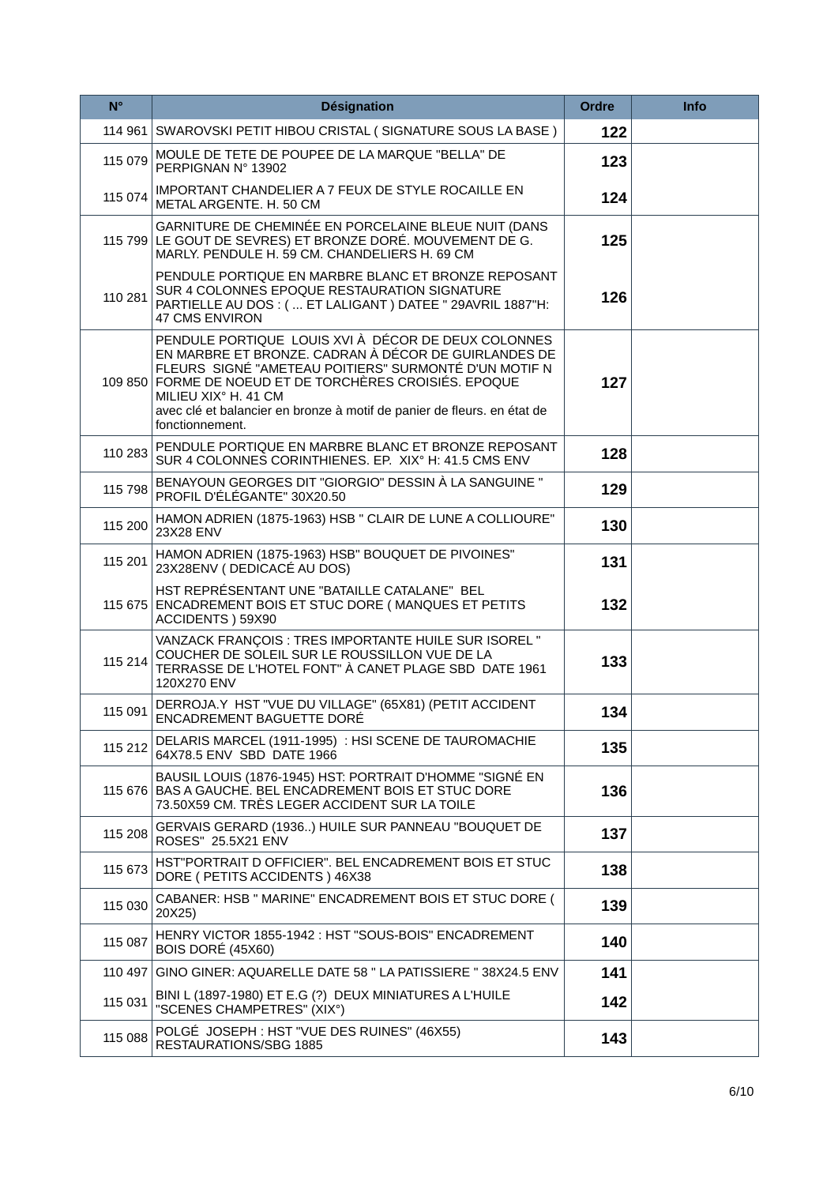| $N^{\circ}$ | <b>Désignation</b>                                                                                                                                                                                                                                                                                                                                    | <b>Ordre</b> | <b>Info</b> |
|-------------|-------------------------------------------------------------------------------------------------------------------------------------------------------------------------------------------------------------------------------------------------------------------------------------------------------------------------------------------------------|--------------|-------------|
|             | 114 961 SWAROVSKI PETIT HIBOU CRISTAL (SIGNATURE SOUS LA BASE)                                                                                                                                                                                                                                                                                        | 122          |             |
| 115 079     | MOULE DE TETE DE POUPEE DE LA MARQUE "BELLA" DE<br>PERPIGNAN Nº 13902                                                                                                                                                                                                                                                                                 | 123          |             |
| 115 074     | IMPORTANT CHANDELIER A 7 FEUX DE STYLE ROCAILLE EN<br>METAL ARGENTE. H. 50 CM                                                                                                                                                                                                                                                                         | 124          |             |
|             | GARNITURE DE CHEMINÉE EN PORCELAINE BLEUE NUIT (DANS<br>115 799 LE GOUT DE SEVRES) ET BRONZE DORÉ. MOUVEMENT DE G.<br>MARLY. PENDULE H. 59 CM. CHANDELIERS H. 69 CM                                                                                                                                                                                   | 125          |             |
| 110 281     | PENDULE PORTIQUE EN MARBRE BLANC ET BRONZE REPOSANT<br>SUR 4 COLONNES EPOQUE RESTAURATION SIGNATURE<br>PARTIELLE AU DOS : (  ET LALIGANT ) DATEE " 29AVRIL 1887"H:<br><b>47 CMS ENVIRON</b>                                                                                                                                                           | 126          |             |
|             | PENDULE PORTIQUE LOUIS XVI À DÉCOR DE DEUX COLONNES<br>EN MARBRE ET BRONZE. CADRAN À DÉCOR DE GUIRLANDES DE<br>FLEURS SIGNÉ "AMETEAU POITIERS" SURMONTÉ D'UN MOTIF N<br>109 850 FORME DE NOEUD ET DE TORCHÈRES CROISIÉS. EPOQUE<br>MILIEU XIX° H. 41 CM<br>avec clé et balancier en bronze à motif de panier de fleurs. en état de<br>fonctionnement. | 127          |             |
| 110 283     | PENDULE PORTIQUE EN MARBRE BLANC ET BRONZE REPOSANT<br>SUR 4 COLONNES CORINTHIENES. EP. XIX° H: 41.5 CMS ENV                                                                                                                                                                                                                                          | 128          |             |
| 115 798     | BENAYOUN GEORGES DIT "GIORGIO" DESSIN À LA SANGUINE "<br>PROFIL D'ÉLÉGANTE" 30X20.50                                                                                                                                                                                                                                                                  | 129          |             |
| 115 200     | HAMON ADRIEN (1875-1963) HSB " CLAIR DE LUNE A COLLIOURE"<br>23X28 ENV                                                                                                                                                                                                                                                                                | 130          |             |
| 115 201     | HAMON ADRIEN (1875-1963) HSB" BOUQUET DE PIVOINES"<br>23X28ENV (DEDICACÉ AU DOS)                                                                                                                                                                                                                                                                      | 131          |             |
|             | HST REPRÉSENTANT UNE "BATAILLE CATALANE" BEL<br>115 675 ENCADREMENT BOIS ET STUC DORE (MANQUES ET PETITS<br>ACCIDENTS ) 59X90                                                                                                                                                                                                                         | 132          |             |
| 115 214     | VANZACK FRANÇOIS : TRES IMPORTANTE HUILE SUR ISOREL "<br>COUCHER DE SOLEIL SUR LE ROUSSILLON VUE DE LA<br>TERRASSE DE L'HOTEL FONT" À CANET PLAGE SBD DATE 1961<br>120X270 ENV                                                                                                                                                                        | 133          |             |
| 115 091     | DERROJA.Y HST "VUE DU VILLAGE" (65X81) (PETIT ACCIDENT<br>ENCADREMENT BAGUETTE DORÉ                                                                                                                                                                                                                                                                   | 134          |             |
| 115 212     | DELARIS MARCEL (1911-1995) : HSI SCENE DE TAUROMACHIE<br>64X78.5 ENV SBD DATE 1966                                                                                                                                                                                                                                                                    | 135          |             |
|             | BAUSIL LOUIS (1876-1945) HST: PORTRAIT D'HOMME "SIGNÉ EN<br>115 676 BAS A GAUCHE. BEL ENCADREMENT BOIS ET STUC DORE<br>73.50X59 CM. TRÈS LEGER ACCIDENT SUR LA TOILE                                                                                                                                                                                  | 136          |             |
| 115 208     | GERVAIS GERARD (1936) HUILE SUR PANNEAU "BOUQUET DE<br>ROSES" 25.5X21 ENV                                                                                                                                                                                                                                                                             | 137          |             |
| 115 673     | HST"PORTRAIT D OFFICIER". BEL ENCADREMENT BOIS ET STUC<br>DORE ( PETITS ACCIDENTS ) 46X38                                                                                                                                                                                                                                                             | 138          |             |
| 115 030     | CABANER: HSB " MARINE" ENCADREMENT BOIS ET STUC DORE (<br>20X25)                                                                                                                                                                                                                                                                                      | 139          |             |
| 115 087     | HENRY VICTOR 1855-1942 : HST "SOUS-BOIS" ENCADREMENT<br>BOIS DORÉ (45X60)                                                                                                                                                                                                                                                                             | 140          |             |
| 110 497     | GINO GINER: AQUARELLE DATE 58 " LA PATISSIERE "38X24.5 ENV                                                                                                                                                                                                                                                                                            | 141          |             |
| 115 031     | BINI L (1897-1980) ET E.G (?) DEUX MINIATURES A L'HUILE<br>"SCENES CHAMPETRES" (XIX°)                                                                                                                                                                                                                                                                 | 142          |             |
| 115 088     | POLGÉ JOSEPH : HST "VUE DES RUINES" (46X55)<br>RESTAURATIONS/SBG 1885                                                                                                                                                                                                                                                                                 | 143          |             |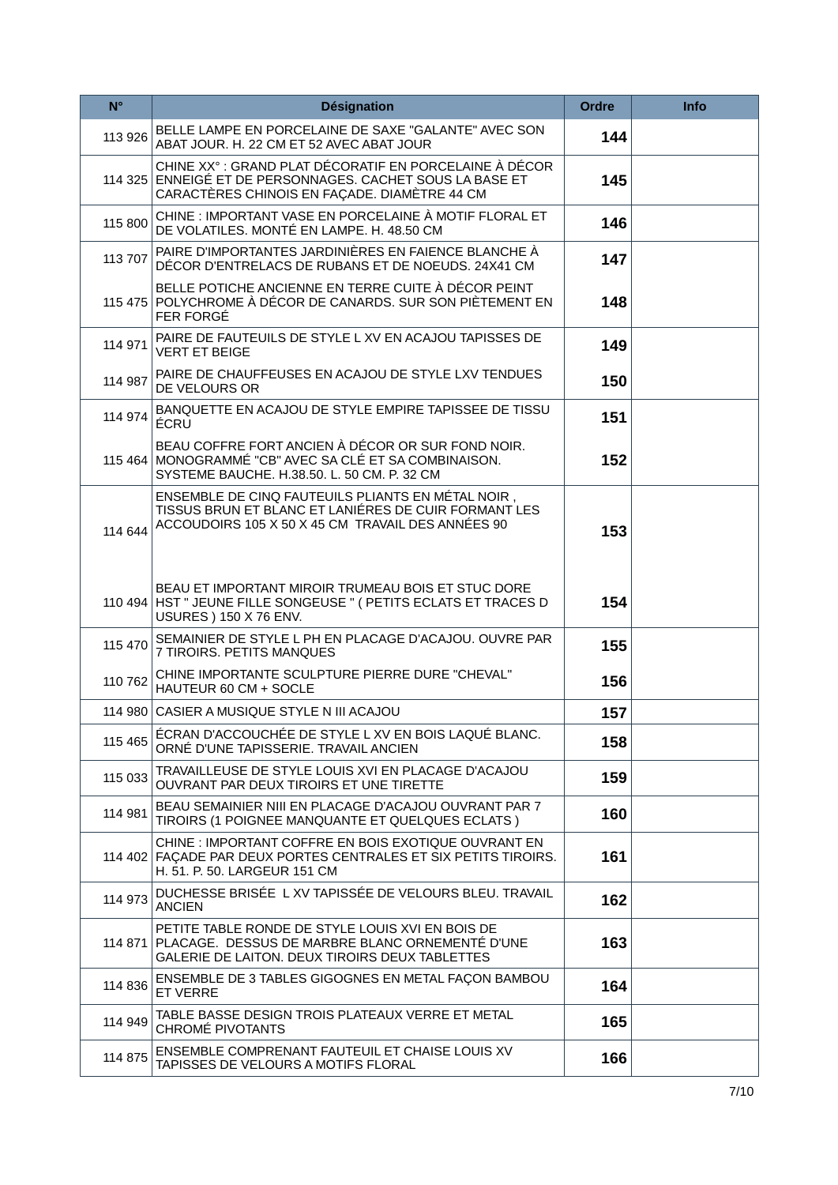| $N^{\circ}$ | <b>Désignation</b>                                                                                                                                                   | <b>Ordre</b> | <b>Info</b> |
|-------------|----------------------------------------------------------------------------------------------------------------------------------------------------------------------|--------------|-------------|
| 113 926     | BELLE LAMPE EN PORCELAINE DE SAXE "GALANTE" AVEC SON<br>ABAT JOUR. H. 22 CM ET 52 AVEC ABAT JOUR                                                                     | 144          |             |
| 114 325     | CHINE XX° : GRAND PLAT DÉCORATIF EN PORCELAINE À DÉCOR<br>ENNEIGÉ ET DE PERSONNAGES. CACHET SOUS LA BASE ET<br>CARACTÈRES CHINOIS EN FAÇADE. DIAMÈTRE 44 CM          | 145          |             |
| 115 800     | CHINE : IMPORTANT VASE EN PORCELAINE À MOTIF FLORAL ET<br>DE VOLATILES. MONTÉ EN LAMPE. H. 48.50 CM                                                                  | 146          |             |
| 113 707     | PAIRE D'IMPORTANTES JARDINIÈRES EN FAIENCE BLANCHE À<br>DÉCOR D'ENTRELACS DE RUBANS ET DE NOEUDS. 24X41 CM                                                           | 147          |             |
|             | BELLE POTICHE ANCIENNE EN TERRE CUITE À DÉCOR PEINT<br>115 475 POLYCHROME À DÉCOR DE CANARDS. SUR SON PIÈTEMENT EN<br>FER FORGÉ                                      | 148          |             |
| 114 971     | PAIRE DE FAUTEUILS DE STYLE L XV EN ACAJOU TAPISSES DE<br><b>VERT ET BEIGE</b>                                                                                       | 149          |             |
| 114 987     | PAIRE DE CHAUFFEUSES EN ACAJOU DE STYLE LXV TENDUES<br>DE VELOURS OR                                                                                                 | 150          |             |
| 114 974     | BANQUETTE EN ACAJOU DE STYLE EMPIRE TAPISSEE DE TISSU<br>ÉCRU                                                                                                        | 151          |             |
|             | BEAU COFFRE FORT ANCIEN À DÉCOR OR SUR FOND NOIR.<br>115 464 MONOGRAMMÉ "CB" AVEC SA CLÉ ET SA COMBINAISON.<br>SYSTEME BAUCHE. H.38.50. L. 50 CM. P. 32 CM           | 152          |             |
| 114 644     | ENSEMBLE DE CINQ FAUTEUILS PLIANTS EN MÉTAL NOIR,<br>TISSUS BRUN ET BLANC ET LANIÉRES DE CUIR FORMANT LES<br>ACCOUDOIRS 105 X 50 X 45 CM TRAVAIL DES ANNÉES 90       | 153          |             |
|             | BEAU ET IMPORTANT MIROIR TRUMEAU BOIS ET STUC DORE<br>110 494 HST " JEUNE FILLE SONGEUSE " ( PETITS ECLATS ET TRACES D<br><b>USURES ) 150 X 76 ENV.</b>              | 154          |             |
| 115 470     | SEMAINIER DE STYLE L PH EN PLACAGE D'ACAJOU. OUVRE PAR<br>7 TIROIRS. PETITS MANQUES                                                                                  | 155          |             |
| 110 762     | CHINE IMPORTANTE SCULPTURE PIERRE DURE "CHEVAL"<br>HAUTEUR 60 CM + SOCLE                                                                                             | 156          |             |
|             | 114 980 CASIER A MUSIQUE STYLE N III ACAJOU                                                                                                                          | 157          |             |
| 115 465     | ÉCRAN D'ACCOUCHÉE DE STYLE L XV EN BOIS LAQUÉ BLANC.<br>ORNÉ D'UNE TAPISSERIE. TRAVAIL ANCIEN                                                                        | 158          |             |
| 115 033     | TRAVAILLEUSE DE STYLE LOUIS XVI EN PLACAGE D'ACAJOU<br>OUVRANT PAR DEUX TIROIRS ET UNE TIRETTE                                                                       | 159          |             |
| 114 981     | BEAU SEMAINIER NIII EN PLACAGE D'ACAJOU OUVRANT PAR 7<br>TIROIRS (1 POIGNEE MANQUANTE ET QUELQUES ECLATS)                                                            | 160          |             |
|             | CHINE : IMPORTANT COFFRE EN BOIS EXOTIQUE OUVRANT EN<br>114 402 FAÇADE PAR DEUX PORTES CENTRALES ET SIX PETITS TIROIRS.<br>H. 51. P. 50. LARGEUR 151 CM              | 161          |             |
| 114 973     | DUCHESSE BRISÉE L XV TAPISSÉE DE VELOURS BLEU. TRAVAIL<br><b>ANCIEN</b>                                                                                              | 162          |             |
|             | PETITE TABLE RONDE DE STYLE LOUIS XVI EN BOIS DE<br>114 871 PLACAGE. DESSUS DE MARBRE BLANC ORNEMENTÉ D'UNE<br><b>GALERIE DE LAITON, DEUX TIROIRS DEUX TABLETTES</b> | 163          |             |
| 114 836     | ENSEMBLE DE 3 TABLES GIGOGNES EN METAL FAÇON BAMBOU<br><b>ET VERRE</b>                                                                                               | 164          |             |
| 114 949     | TABLE BASSE DESIGN TROIS PLATEAUX VERRE ET METAL<br>CHROME PIVOTANTS                                                                                                 | 165          |             |
| 114 875     | ENSEMBLE COMPRENANT FAUTEUIL ET CHAISE LOUIS XV<br>TAPISSES DE VELOURS A MOTIFS FLORAL                                                                               | 166          |             |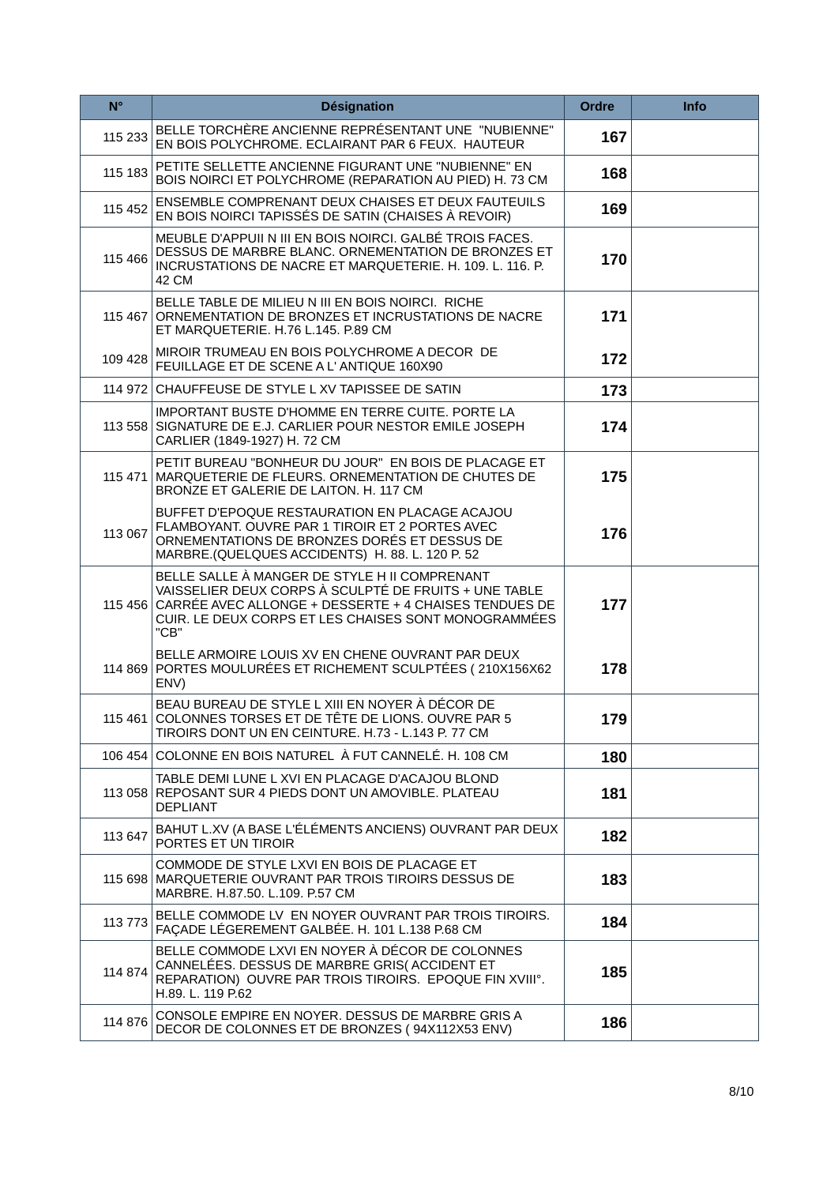| $N^{\circ}$ | <b>Désignation</b>                                                                                                                                                                                                                      | <b>Ordre</b> | Info |
|-------------|-----------------------------------------------------------------------------------------------------------------------------------------------------------------------------------------------------------------------------------------|--------------|------|
| 115 233     | BELLE TORCHÈRE ANCIENNE REPRÉSENTANT UNE "NUBIENNE"<br>EN BOIS POLYCHROME. ECLAIRANT PAR 6 FEUX. HAUTEUR                                                                                                                                | 167          |      |
| 115 183     | PETITE SELLETTE ANCIENNE FIGURANT UNE "NUBIENNE" EN<br>BOIS NOIRCI ET POLYCHROME (REPARATION AU PIED) H. 73 CM                                                                                                                          | 168          |      |
| 115 452     | ENSEMBLE COMPRENANT DEUX CHAISES ET DEUX FAUTEUILS<br>EN BOIS NOIRCI TAPISSÉS DE SATIN (CHAISES À REVOIR)                                                                                                                               | 169          |      |
| 115 466     | MEUBLE D'APPUII N III EN BOIS NOIRCI. GALBÉ TROIS FACES.<br>DESSUS DE MARBRE BLANC. ORNEMENTATION DE BRONZES ET<br>INCRUSTATIONS DE NACRE ET MARQUETERIE. H. 109. L. 116. P.<br>42 CM                                                   | 170          |      |
|             | BELLE TABLE DE MILIEU N III EN BOIS NOIRCI. RICHE<br>115 467 ORNEMENTATION DE BRONZES ET INCRUSTATIONS DE NACRE<br>ET MARQUETERIE. H.76 L.145. P.89 CM                                                                                  | 171          |      |
| 109 428     | MIROIR TRUMEAU EN BOIS POLYCHROME A DECOR DE<br>FEUILLAGE ET DE SCENE A L'ANTIQUE 160X90                                                                                                                                                | 172          |      |
|             | 114 972 CHAUFFEUSE DE STYLE L XV TAPISSEE DE SATIN                                                                                                                                                                                      | 173          |      |
|             | IMPORTANT BUSTE D'HOMME EN TERRE CUITE, PORTE LA<br>113 558 SIGNATURE DE E.J. CARLIER POUR NESTOR EMILE JOSEPH<br>CARLIER (1849-1927) H. 72 CM                                                                                          | 174          |      |
| 115471      | PETIT BUREAU "BONHEUR DU JOUR" EN BOIS DE PLACAGE ET<br>MARQUETERIE DE FLEURS. ORNEMENTATION DE CHUTES DE<br>BRONZE ET GALERIE DE LAITON. H. 117 CM                                                                                     | 175          |      |
| 113 067     | BUFFET D'EPOQUE RESTAURATION EN PLACAGE ACAJOU<br>FLAMBOYANT. OUVRE PAR 1 TIROIR ET 2 PORTES AVEC<br>ORNEMENTATIONS DE BRONZES DORÉS ET DESSUS DE<br>MARBRE.(QUELQUES ACCIDENTS) H. 88. L. 120 P. 52                                    | 176          |      |
|             | BELLE SALLE À MANGER DE STYLE H II COMPRENANT<br>VAISSELIER DEUX CORPS À SCULPTÉ DE FRUITS + UNE TABLE<br>115 456 CARRÉE AVEC ALLONGE + DESSERTE + 4 CHAISES TENDUES DE<br>CUIR. LE DEUX CORPS ET LES CHAISES SONT MONOGRAMMÉES<br>"CB" | 177          |      |
|             | BELLE ARMOIRE LOUIS XV EN CHENE OUVRANT PAR DEUX<br>114 869 PORTES MOULURÉES ET RICHEMENT SCULPTÉES (210X156X62<br>ENV)                                                                                                                 | 178          |      |
|             | BEAU BUREAU DE STYLE L XIII EN NOYER À DÉCOR DE<br>115 461 COLONNES TORSES ET DE TÊTE DE LIONS. OUVRE PAR 5<br>TIROIRS DONT UN EN CEINTURE. H.73 - L.143 P. 77 CM                                                                       | 179          |      |
|             | 106 454 COLONNE EN BOIS NATUREL À FUT CANNELÉ. H. 108 CM                                                                                                                                                                                | 180          |      |
|             | TABLE DEMI LUNE L XVI EN PLACAGE D'ACAJOU BLOND<br>113 058 REPOSANT SUR 4 PIEDS DONT UN AMOVIBLE. PLATEAU<br><b>DEPLIANT</b>                                                                                                            | 181          |      |
| 113 647     | BAHUT L.XV (A BASE L'ÉLÉMENTS ANCIENS) OUVRANT PAR DEUX<br>PORTES ET UN TIROIR                                                                                                                                                          | 182          |      |
| 115 698     | COMMODE DE STYLE LXVI EN BOIS DE PLACAGE ET<br>MARQUETERIE OUVRANT PAR TROIS TIROIRS DESSUS DE<br>MARBRE. H.87.50. L.109. P.57 CM                                                                                                       | 183          |      |
| 113773      | BELLE COMMODE LV EN NOYER OUVRANT PAR TROIS TIROIRS.<br>FAÇADE LÉGEREMENT GALBÉE. H. 101 L.138 P.68 CM                                                                                                                                  | 184          |      |
| 114 874     | BELLE COMMODE LXVI EN NOYER À DÉCOR DE COLONNES<br>CANNELÉES. DESSUS DE MARBRE GRIS(ACCIDENT ET<br>REPARATION) OUVRE PAR TROIS TIROIRS. EPOQUE FIN XVIII°.<br>H.89. L. 119 P.62                                                         | 185          |      |
| 114 876     | CONSOLE EMPIRE EN NOYER. DESSUS DE MARBRE GRIS A<br>DECOR DE COLONNES ET DE BRONZES (94X112X53 ENV)                                                                                                                                     | 186          |      |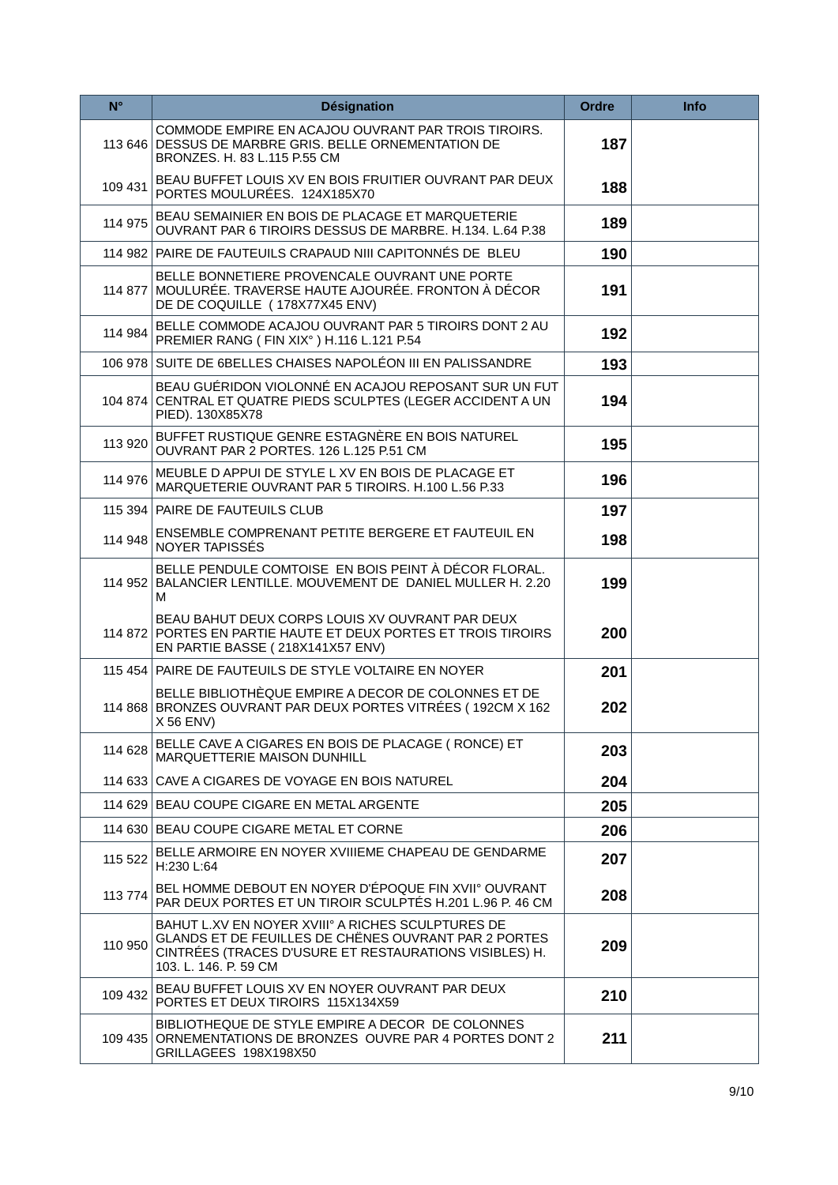| $N^{\circ}$ | <b>Désignation</b>                                                                                                                                                                           | Ordre | Info |
|-------------|----------------------------------------------------------------------------------------------------------------------------------------------------------------------------------------------|-------|------|
| 113 646     | COMMODE EMPIRE EN ACAJOU OUVRANT PAR TROIS TIROIRS.<br>DESSUS DE MARBRE GRIS. BELLE ORNEMENTATION DE<br>BRONZES. H. 83 L.115 P.55 CM                                                         | 187   |      |
| 109 431     | BEAU BUFFET LOUIS XV EN BOIS FRUITIER OUVRANT PAR DEUX<br>PORTES MOULURÉES. 124X185X70                                                                                                       | 188   |      |
| 114 975     | BEAU SEMAINIER EN BOIS DE PLACAGE ET MARQUETERIE<br>OUVRANT PAR 6 TIROIRS DESSUS DE MARBRE. H.134. L.64 P.38                                                                                 | 189   |      |
|             | 114 982 PAIRE DE FAUTEUILS CRAPAUD NIII CAPITONNÉS DE BLEU                                                                                                                                   | 190   |      |
| 114 877     | BELLE BONNETIERE PROVENCALE OUVRANT UNE PORTE<br>MOULURÉE. TRAVERSE HAUTE AJOURÉE. FRONTON À DÉCOR<br>DE DE COQUILLE (178X77X45 ENV)                                                         | 191   |      |
| 114 984     | BELLE COMMODE ACAJOU OUVRANT PAR 5 TIROIRS DONT 2 AU<br>PREMIER RANG (FIN XIX°) H.116 L.121 P.54                                                                                             | 192   |      |
|             | 106 978 SUITE DE 6BELLES CHAISES NAPOLÉON III EN PALISSANDRE                                                                                                                                 | 193   |      |
|             | BEAU GUÉRIDON VIOLONNÉ EN ACAJOU REPOSANT SUR UN FUT<br>104 874 CENTRAL ET QUATRE PIEDS SCULPTES (LEGER ACCIDENT A UN<br>PIED). 130X85X78                                                    | 194   |      |
| 113 920     | BUFFET RUSTIQUE GENRE ESTAGNÈRE EN BOIS NATUREL<br>OUVRANT PAR 2 PORTES. 126 L.125 P.51 CM                                                                                                   | 195   |      |
| 114 976     | MEUBLE D APPUI DE STYLE L XV EN BOIS DE PLACAGE ET<br>MARQUETERIE OUVRANT PAR 5 TIROIRS, H.100 L.56 P.33                                                                                     | 196   |      |
|             | 115 394 PAIRE DE FAUTEUILS CLUB                                                                                                                                                              | 197   |      |
| 114 948     | ENSEMBLE COMPRENANT PETITE BERGERE ET FAUTEUIL EN<br>NOYER TAPISSES                                                                                                                          | 198   |      |
|             | BELLE PENDULE COMTOISE EN BOIS PEINT À DÉCOR FLORAL.<br>114 952 BALANCIER LENTILLE. MOUVEMENT DE DANIEL MULLER H. 2.20<br>м                                                                  | 199   |      |
|             | BEAU BAHUT DEUX CORPS LOUIS XV OUVRANT PAR DEUX<br>114 872 PORTES EN PARTIE HAUTE ET DEUX PORTES ET TROIS TIROIRS<br>EN PARTIE BASSE (218X141X57 ENV)                                        | 200   |      |
|             | 115 454 PAIRE DE FAUTEUILS DE STYLE VOLTAIRE EN NOYER                                                                                                                                        | 201   |      |
|             | BELLE BIBLIOTHEQUE EMPIRE A DECOR DE COLONNES ET DE<br>114 868 BRONZES OUVRANT PAR DEUX PORTES VITRÉES (192CM X 162<br>X 56 ENV)                                                             | 202   |      |
| 114 628     | BELLE CAVE A CIGARES EN BOIS DE PLACAGE (RONCE) ET<br>MARQUETTERIE MAISON DUNHILL                                                                                                            | 203   |      |
|             | 114 633 CAVE A CIGARES DE VOYAGE EN BOIS NATUREL                                                                                                                                             | 204   |      |
|             | 114 629 BEAU COUPE CIGARE EN METAL ARGENTE                                                                                                                                                   | 205   |      |
|             | 114 630 BEAU COUPE CIGARE METAL ET CORNE                                                                                                                                                     | 206   |      |
| 115 522     | BELLE ARMOIRE EN NOYER XVIIIEME CHAPEAU DE GENDARME<br>H:230 L:64                                                                                                                            | 207   |      |
| 113 774     | BEL HOMME DEBOUT EN NOYER D'ÉPOQUE FIN XVII° OUVRANT<br>PAR DEUX PORTES ET UN TIROIR SCULPTÉS H.201 L.96 P. 46 CM                                                                            | 208   |      |
| 110 950     | BAHUT L.XV EN NOYER XVIII° A RICHES SCULPTURES DE<br>GLANDS ET DE FEUILLES DE CHÊNES OUVRANT PAR 2 PORTES<br>CINTRÉES (TRACES D'USURE ET RESTAURATIONS VISIBLES) H.<br>103. L. 146. P. 59 CM | 209   |      |
| 109 432     | BEAU BUFFET LOUIS XV EN NOYER OUVRANT PAR DEUX<br>PORTES ET DEUX TIROIRS 115X134X59                                                                                                          | 210   |      |
|             | BIBLIOTHEQUE DE STYLE EMPIRE A DECOR DE COLONNES<br>109 435 ORNEMENTATIONS DE BRONZES OUVRE PAR 4 PORTES DONT 2<br>GRILLAGEES 198X198X50                                                     | 211   |      |